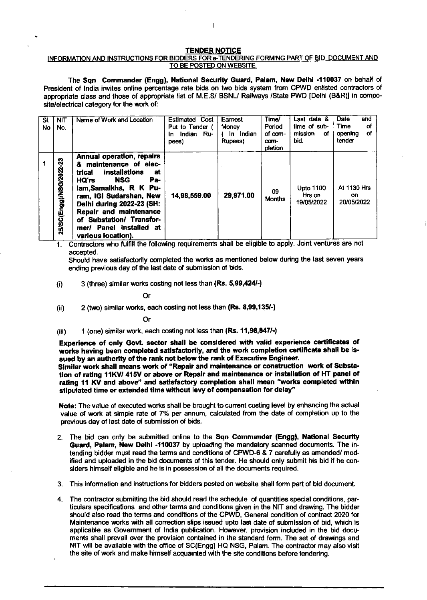## TENDER NOTICE

## INFORMATION AND INSTRUCTIONS FOR BIDDERS FOR e-TENDERING FORMING PART OF BID DOCUMENT AND TO BE POSTED ON WEBSITE.

The Sqn Commander (Engg), National Security Guard, Palam, New Dolhi -110037 on behalf of President of India invites online percentage rate bids on two bids system from CPWD enlisted contractors of appropriate class and those of appropriate list of M.E.S/ BSNL/ Railways /State PWD [Delhi (B&R)] in composite/electrical category for the work of:

| SI.<br>No | <b>NIT</b><br>No.         | Name of Work and Location                                                                                                                                                                                                                                                                                          | <b>Estimated Cost</b><br>Put to Tender (<br>Indian Ru-<br>In<br>pees) | Earnest<br>Money<br>In Indian<br>Rupees) | Time/<br>Period<br>of com-<br>com-<br>pletion | Last date &<br>time of sub-<br>mission<br>of.<br>bid. | Date<br>and<br>Time<br>οf<br>Οf<br>opening<br>tender |
|-----------|---------------------------|--------------------------------------------------------------------------------------------------------------------------------------------------------------------------------------------------------------------------------------------------------------------------------------------------------------------|-----------------------------------------------------------------------|------------------------------------------|-----------------------------------------------|-------------------------------------------------------|------------------------------------------------------|
|           | 3<br>25/SC(Engg)/NSG/2022 | <b>Annual operation, repairs</b><br>& maintenance of elec-<br>installations<br>trical<br>at<br><b>NSG</b><br>Pa-<br>HQ'rs<br>lam, Samalkha, R K Pu-<br>ram, IGI Sudarshan, New<br>Delhi during 2022-23 (SH:<br>Repair and maintenance<br>of Substation/ Transfor-<br>mer/ Panel Installed at<br>various location). | 14,98,559.00                                                          | 29,971.00                                | 09<br><b>Months</b>                           | <b>Upto 1100</b><br>Hrs on<br>19/05/2022              | <b>At 1130 Hrs</b><br>on.<br>20/05/2022              |

Contractors who fulfill the following requirements shall be eligible to apply. Joint ventures are not accepted. 1

Should have satisfactorily completed the works as mentioned below during the last seven years ending previous day of the last date of submission of bids.

(i)  $3$  (three) similar works costing not less than (Rs. 5,99,424 $\cdot$ )

Or

 $(i)$  2 (two) similar works, each costing not less than  $(Rs. 8,99,135/-)$ 

Or

(iii) 1 (one) similar work, each costing not less than (Rs. 11,98,847/-)

Experience of only Govt. sector shall be considered with valid experience certificates of works having been completed satisfactorily, and the work completion certificate shall be issued by an authority of the rank not below the rank of Executive Engineer.

Similar work shall means work of "Repair and maintenance or construction work of Substation of rating 11KV/ 415V or above or Repair and maintenance or installation of HT panel of rating 11 KV and above" and satisfactory completion shall mean "works completed within stipulated time or extended time without levy of compensation for delay"

Note: The value of executed works shall be brought to current costing level by enhancing the actual value of work at simple rate of 7% per annum, calculated from the date of completion up to the previous day of last date of submission of bids.

- 2. The bid can only be submitted online to the Sqn Commander (Engg), National Security Guard, Palam, New Delhi -110037 by uploading the mandatory scanned documents. The intending bidder must read the terms and conditions of CPWD-6 & 7 carefully as amended/ modified and uploaded in the tid documents of this tender. He should only submit his bid if he considers himself eligible and he is in possession of all the documents required.
- 3. This information and instructions for bidders posted on website shall form part of bid document.
- 4. The contractor submitting the bid should read the schedule of quantities special conditions, particulars specifications and other terms and conditions given in the NIT and drawing. The bidder should also read the terms and conditions of the CPWD, General condition of contract 2020 for Maintenance works with all correction slips issued upto last date of submission of bid, which is applicable as Government of India publication. However, provision induded in the bid documents shall prevail over the provision contained in the standard form. The set of drawings and NIT will be available with the office of SC(Engg) HQ NSG, Palam. The contractor may also visit the site of work and make himself acquainted with the site conditions before tendering.